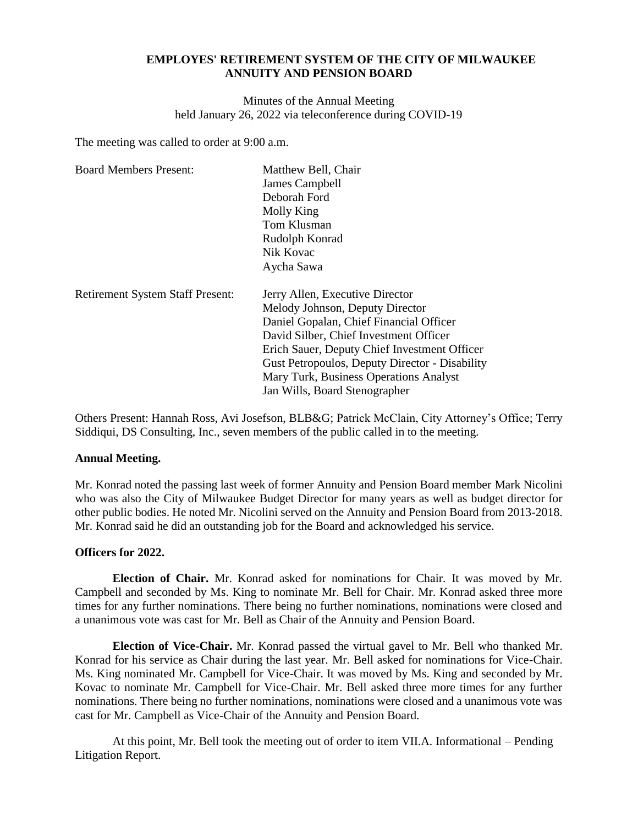## **EMPLOYES' RETIREMENT SYSTEM OF THE CITY OF MILWAUKEE ANNUITY AND PENSION BOARD**

Minutes of the Annual Meeting held January 26, 2022 via teleconference during COVID-19

The meeting was called to order at 9:00 a.m.

| James Campbell                                 |
|------------------------------------------------|
|                                                |
| Deborah Ford                                   |
| Molly King                                     |
| Tom Klusman                                    |
| Rudolph Konrad                                 |
| Nik Kovac                                      |
| Aycha Sawa                                     |
| Jerry Allen, Executive Director                |
| Melody Johnson, Deputy Director                |
| Daniel Gopalan, Chief Financial Officer        |
| David Silber, Chief Investment Officer         |
| Erich Sauer, Deputy Chief Investment Officer   |
| Gust Petropoulos, Deputy Director - Disability |
|                                                |
| Mary Turk, Business Operations Analyst         |
|                                                |

Others Present: Hannah Ross, Avi Josefson, BLB&G; Patrick McClain, City Attorney's Office; Terry Siddiqui, DS Consulting, Inc., seven members of the public called in to the meeting.

#### **Annual Meeting.**

Mr. Konrad noted the passing last week of former Annuity and Pension Board member Mark Nicolini who was also the City of Milwaukee Budget Director for many years as well as budget director for other public bodies. He noted Mr. Nicolini served on the Annuity and Pension Board from 2013-2018. Mr. Konrad said he did an outstanding job for the Board and acknowledged his service.

#### **Officers for 2022.**

**Election of Chair.** Mr. Konrad asked for nominations for Chair. It was moved by Mr. Campbell and seconded by Ms. King to nominate Mr. Bell for Chair. Mr. Konrad asked three more times for any further nominations. There being no further nominations, nominations were closed and a unanimous vote was cast for Mr. Bell as Chair of the Annuity and Pension Board.

**Election of Vice-Chair.** Mr. Konrad passed the virtual gavel to Mr. Bell who thanked Mr. Konrad for his service as Chair during the last year. Mr. Bell asked for nominations for Vice-Chair. Ms. King nominated Mr. Campbell for Vice-Chair. It was moved by Ms. King and seconded by Mr. Kovac to nominate Mr. Campbell for Vice-Chair. Mr. Bell asked three more times for any further nominations. There being no further nominations, nominations were closed and a unanimous vote was cast for Mr. Campbell as Vice-Chair of the Annuity and Pension Board.

At this point, Mr. Bell took the meeting out of order to item VII.A. Informational – Pending Litigation Report.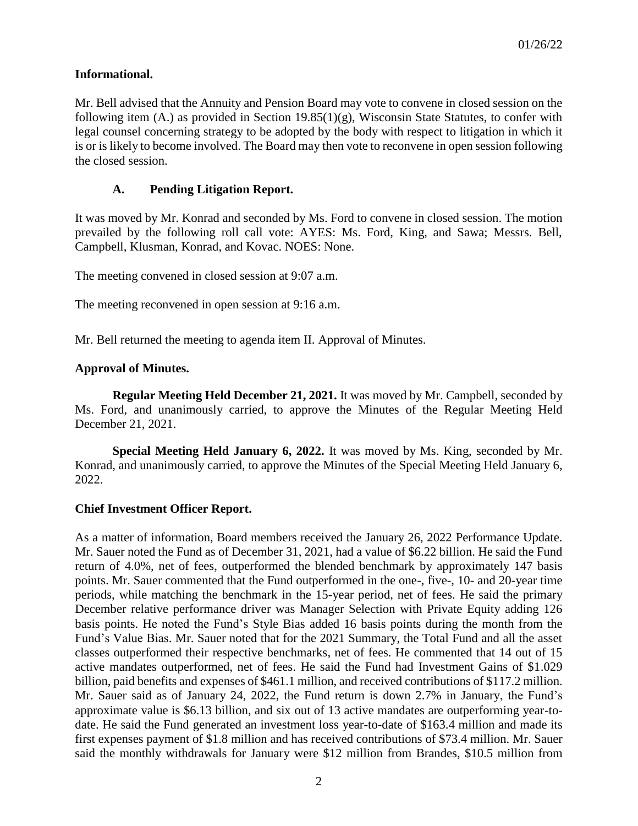# **Informational.**

Mr. Bell advised that the Annuity and Pension Board may vote to convene in closed session on the following item  $(A)$  as provided in Section 19.85(1)(g), Wisconsin State Statutes, to confer with legal counsel concerning strategy to be adopted by the body with respect to litigation in which it is or is likely to become involved. The Board may then vote to reconvene in open session following the closed session.

# **A. Pending Litigation Report.**

It was moved by Mr. Konrad and seconded by Ms. Ford to convene in closed session. The motion prevailed by the following roll call vote: AYES: Ms. Ford, King, and Sawa; Messrs. Bell, Campbell, Klusman, Konrad, and Kovac. NOES: None.

The meeting convened in closed session at 9:07 a.m.

The meeting reconvened in open session at 9:16 a.m.

Mr. Bell returned the meeting to agenda item II. Approval of Minutes.

## **Approval of Minutes.**

**Regular Meeting Held December 21, 2021.** It was moved by Mr. Campbell, seconded by Ms. Ford, and unanimously carried, to approve the Minutes of the Regular Meeting Held December 21, 2021.

**Special Meeting Held January 6, 2022.** It was moved by Ms. King, seconded by Mr. Konrad, and unanimously carried, to approve the Minutes of the Special Meeting Held January 6, 2022.

## **Chief Investment Officer Report.**

As a matter of information, Board members received the January 26, 2022 Performance Update. Mr. Sauer noted the Fund as of December 31, 2021, had a value of \$6.22 billion. He said the Fund return of 4.0%, net of fees, outperformed the blended benchmark by approximately 147 basis points. Mr. Sauer commented that the Fund outperformed in the one-, five-, 10- and 20-year time periods, while matching the benchmark in the 15-year period, net of fees. He said the primary December relative performance driver was Manager Selection with Private Equity adding 126 basis points. He noted the Fund's Style Bias added 16 basis points during the month from the Fund's Value Bias. Mr. Sauer noted that for the 2021 Summary, the Total Fund and all the asset classes outperformed their respective benchmarks, net of fees. He commented that 14 out of 15 active mandates outperformed, net of fees. He said the Fund had Investment Gains of \$1.029 billion, paid benefits and expenses of \$461.1 million, and received contributions of \$117.2 million. Mr. Sauer said as of January 24, 2022, the Fund return is down 2.7% in January, the Fund's approximate value is \$6.13 billion, and six out of 13 active mandates are outperforming year-todate. He said the Fund generated an investment loss year-to-date of \$163.4 million and made its first expenses payment of \$1.8 million and has received contributions of \$73.4 million. Mr. Sauer said the monthly withdrawals for January were \$12 million from Brandes, \$10.5 million from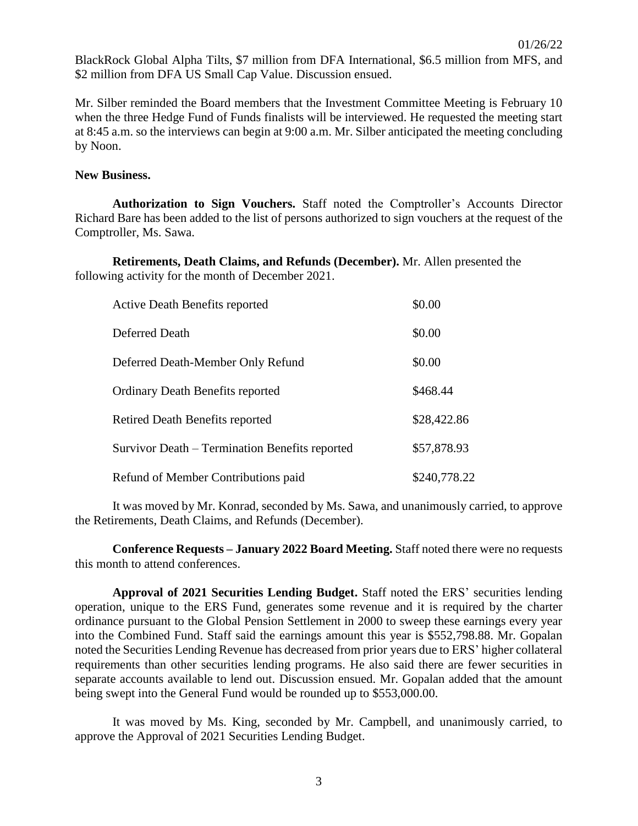BlackRock Global Alpha Tilts, \$7 million from DFA International, \$6.5 million from MFS, and \$2 million from DFA US Small Cap Value. Discussion ensued.

Mr. Silber reminded the Board members that the Investment Committee Meeting is February 10 when the three Hedge Fund of Funds finalists will be interviewed. He requested the meeting start at 8:45 a.m. so the interviews can begin at 9:00 a.m. Mr. Silber anticipated the meeting concluding by Noon.

#### **New Business.**

**Authorization to Sign Vouchers.** Staff noted the Comptroller's Accounts Director Richard Bare has been added to the list of persons authorized to sign vouchers at the request of the Comptroller, Ms. Sawa.

**Retirements, Death Claims, and Refunds (December).** Mr. Allen presented the following activity for the month of December 2021.

| <b>Active Death Benefits reported</b>          | \$0.00       |
|------------------------------------------------|--------------|
| Deferred Death                                 | \$0.00       |
| Deferred Death-Member Only Refund              | \$0.00       |
| <b>Ordinary Death Benefits reported</b>        | \$468.44     |
| Retired Death Benefits reported                | \$28,422.86  |
| Survivor Death – Termination Benefits reported | \$57,878.93  |
| Refund of Member Contributions paid            | \$240,778.22 |

It was moved by Mr. Konrad, seconded by Ms. Sawa, and unanimously carried, to approve the Retirements, Death Claims, and Refunds (December).

**Conference Requests – January 2022 Board Meeting.** Staff noted there were no requests this month to attend conferences.

**Approval of 2021 Securities Lending Budget.** Staff noted the ERS' securities lending operation, unique to the ERS Fund, generates some revenue and it is required by the charter ordinance pursuant to the Global Pension Settlement in 2000 to sweep these earnings every year into the Combined Fund. Staff said the earnings amount this year is \$552,798.88. Mr. Gopalan noted the Securities Lending Revenue has decreased from prior years due to ERS' higher collateral requirements than other securities lending programs. He also said there are fewer securities in separate accounts available to lend out. Discussion ensued. Mr. Gopalan added that the amount being swept into the General Fund would be rounded up to \$553,000.00.

It was moved by Ms. King, seconded by Mr. Campbell, and unanimously carried, to approve the Approval of 2021 Securities Lending Budget.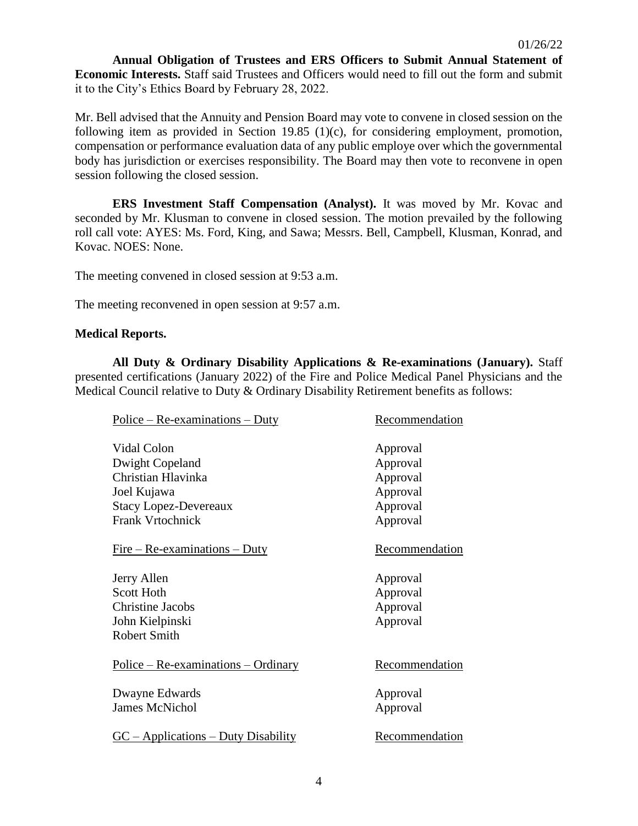**Annual Obligation of Trustees and ERS Officers to Submit Annual Statement of Economic Interests.** Staff said Trustees and Officers would need to fill out the form and submit it to the City's Ethics Board by February 28, 2022.

Mr. Bell advised that the Annuity and Pension Board may vote to convene in closed session on the following item as provided in Section 19.85 (1)(c), for considering employment, promotion, compensation or performance evaluation data of any public employe over which the governmental body has jurisdiction or exercises responsibility. The Board may then vote to reconvene in open session following the closed session.

**ERS Investment Staff Compensation (Analyst).** It was moved by Mr. Kovac and seconded by Mr. Klusman to convene in closed session. The motion prevailed by the following roll call vote: AYES: Ms. Ford, King, and Sawa; Messrs. Bell, Campbell, Klusman, Konrad, and Kovac. NOES: None.

The meeting convened in closed session at 9:53 a.m.

The meeting reconvened in open session at 9:57 a.m.

#### **Medical Reports.**

**All Duty & Ordinary Disability Applications & Re-examinations (January).** Staff presented certifications (January 2022) of the Fire and Police Medical Panel Physicians and the Medical Council relative to Duty & Ordinary Disability Retirement benefits as follows:

| $Police - Re-examinations - Duty$     | Recommendation        |
|---------------------------------------|-----------------------|
|                                       |                       |
| Vidal Colon                           | Approval              |
| Dwight Copeland                       | Approval              |
| Christian Hlavinka                    | Approval              |
| Joel Kujawa                           | Approval              |
| <b>Stacy Lopez-Devereaux</b>          | Approval              |
| <b>Frank Vrtochnick</b>               | Approval              |
| $Fire - Re-examinations - Duty$       | <b>Recommendation</b> |
| Jerry Allen                           | Approval              |
| <b>Scott Hoth</b>                     | Approval              |
| <b>Christine Jacobs</b>               | Approval              |
| John Kielpinski                       | Approval              |
| <b>Robert Smith</b>                   |                       |
| $Police - Re-examinations - Ordinary$ | Recommendation        |
| Dwayne Edwards                        | Approval              |
| <b>James McNichol</b>                 | Approval              |
| $GC - Applications - Duty Disability$ | Recommendation        |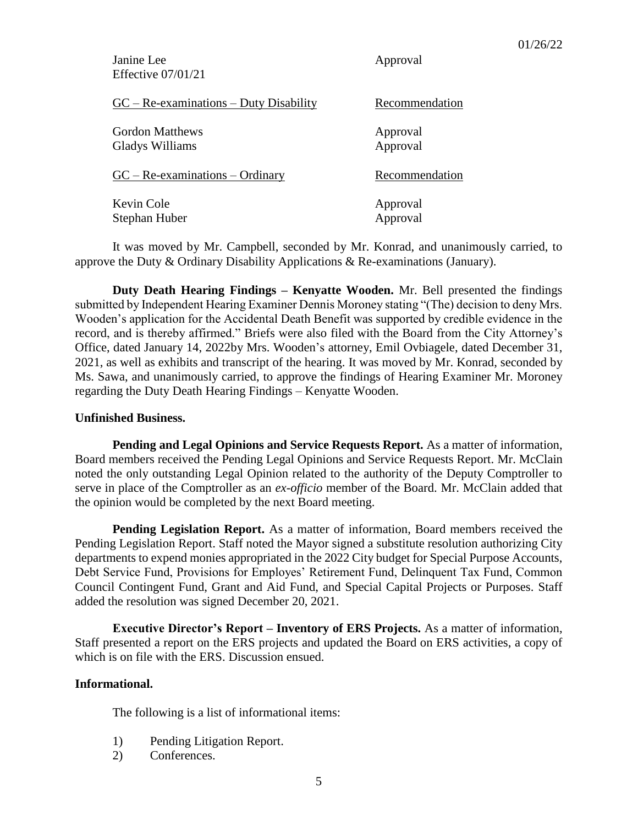| Janine Lee<br>Effective $07/01/21$        | Approval             |
|-------------------------------------------|----------------------|
| $GC - Re-examinations - Duty Disability$  | Recommendation       |
| <b>Gordon Matthews</b><br>Gladys Williams | Approval<br>Approval |
| $GC - Re-examinations - Ordinary$         | Recommendation       |
| Kevin Cole<br>Stephan Huber               | Approval<br>Approval |

It was moved by Mr. Campbell, seconded by Mr. Konrad, and unanimously carried, to approve the Duty & Ordinary Disability Applications & Re-examinations (January).

**Duty Death Hearing Findings – Kenyatte Wooden.** Mr. Bell presented the findings submitted by Independent Hearing Examiner Dennis Moroney stating "(The) decision to deny Mrs. Wooden's application for the Accidental Death Benefit was supported by credible evidence in the record, and is thereby affirmed." Briefs were also filed with the Board from the City Attorney's Office, dated January 14, 2022by Mrs. Wooden's attorney, Emil Ovbiagele, dated December 31, 2021, as well as exhibits and transcript of the hearing. It was moved by Mr. Konrad, seconded by Ms. Sawa, and unanimously carried, to approve the findings of Hearing Examiner Mr. Moroney regarding the Duty Death Hearing Findings – Kenyatte Wooden.

### **Unfinished Business.**

**Pending and Legal Opinions and Service Requests Report.** As a matter of information, Board members received the Pending Legal Opinions and Service Requests Report. Mr. McClain noted the only outstanding Legal Opinion related to the authority of the Deputy Comptroller to serve in place of the Comptroller as an *ex-officio* member of the Board. Mr. McClain added that the opinion would be completed by the next Board meeting.

**Pending Legislation Report.** As a matter of information, Board members received the Pending Legislation Report. Staff noted the Mayor signed a substitute resolution authorizing City departments to expend monies appropriated in the 2022 City budget for Special Purpose Accounts, Debt Service Fund, Provisions for Employes' Retirement Fund, Delinquent Tax Fund, Common Council Contingent Fund, Grant and Aid Fund, and Special Capital Projects or Purposes. Staff added the resolution was signed December 20, 2021.

**Executive Director's Report – Inventory of ERS Projects.** As a matter of information, Staff presented a report on the ERS projects and updated the Board on ERS activities, a copy of which is on file with the ERS. Discussion ensued.

## **Informational.**

The following is a list of informational items:

- 1) Pending Litigation Report.
- 2) Conferences.